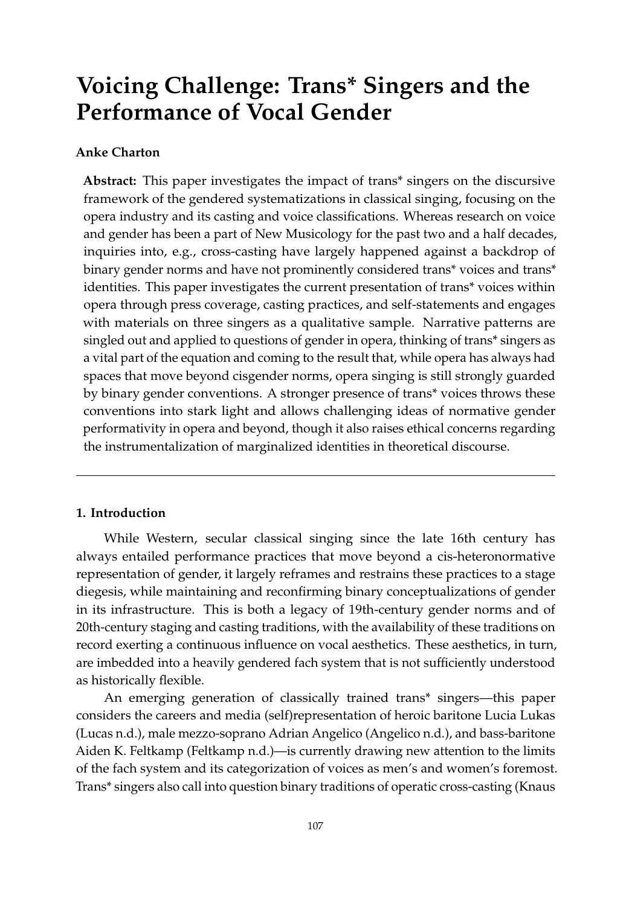# **Voicing Challenge: Trans\* Singers and the Performance of Vocal Gender**

# **Anke Charton**

**Abstract:** This paper investigates the impact of trans\* singers on the discursive framework of the gendered systematizations in classical singing, focusing on the opera industry and its casting and voice classifications. Whereas research on voice and gender has been a part of New Musicology for the past two and a half decades, inquiries into, e.g., cross-casting have largely happened against a backdrop of binary gender norms and have not prominently considered trans\* voices and trans\* identities. This paper investigates the current presentation of trans\* voices within opera through press coverage, casting practices, and self-statements and engages with materials on three singers as a qualitative sample. Narrative patterns are singled out and applied to questions of gender in opera, thinking of trans\* singers as a vital part of the equation and coming to the result that, while opera has always had spaces that move beyond cisgender norms, opera singing is still strongly guarded by binary gender conventions. A stronger presence of trans\* voices throws these conventions into stark light and allows challenging ideas of normative gender performativity in opera and beyond, though it also raises ethical concerns regarding the instrumentalization of marginalized identities in theoretical discourse.

# **1. Introduction**

While Western, secular classical singing since the late 16th century has always entailed performance practices that move beyond a cis-heteronormative representation of gender, it largely reframes and restrains these practices to a stage diegesis, while maintaining and reconfirming binary conceptualizations of gender in its infrastructure. This is both a legacy of 19th-century gender norms and of 20th-century staging and casting traditions, with the availability of these traditions on record exerting a continuous influence on vocal aesthetics. These aesthetics, in turn, are imbedded into a heavily gendered fach system that is not sufficiently understood as historically flexible.

An emerging generation of classically trained trans\* singers—this paper considers the careers and media (self)representation of heroic baritone Lucia Lukas [\(Lucas](#page-17-0) [n.d.\)](#page-17-0), male mezzo-soprano Adrian Angelico [\(Angelico](#page-15-0) [n.d.\)](#page-15-0), and bass-baritone Aiden K. Feltkamp [\(Feltkamp](#page-16-0) [n.d.\)](#page-16-0)—is currently drawing new attention to the limits of the fach system and its categorization of voices as men's and women's foremost. Trans\* singers also call into question binary traditions of operatic cross-casting [\(Knaus](#page-17-1)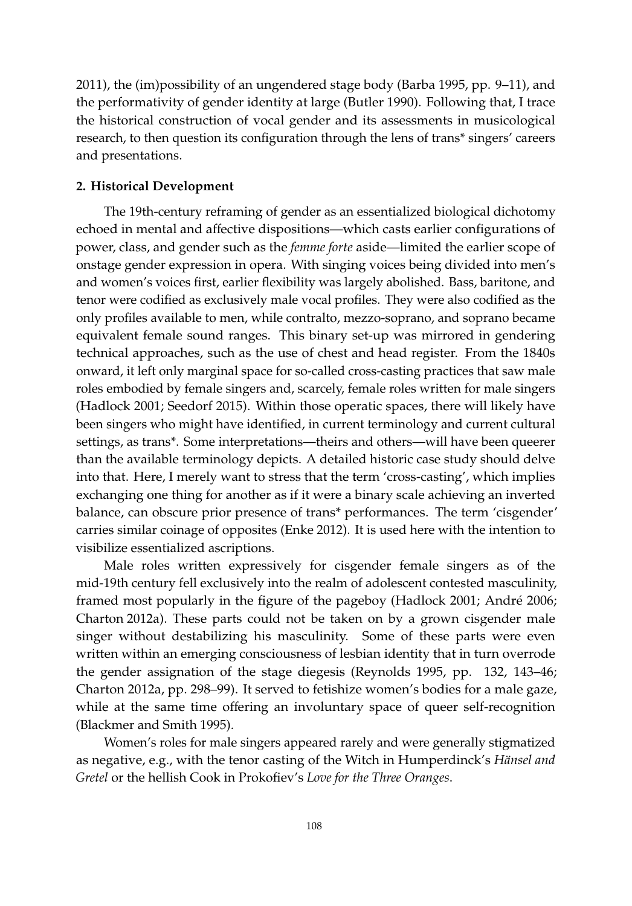[2011\)](#page-17-1), the (im)possibility of an ungendered stage body [\(Barba](#page-15-1) [1995,](#page-15-1) pp. 9–11), and the performativity of gender identity at large [\(Butler](#page-15-2) [1990\)](#page-15-2). Following that, I trace the historical construction of vocal gender and its assessments in musicological research, to then question its configuration through the lens of trans\* singers' careers and presentations.

#### **2. Historical Development**

The 19th-century reframing of gender as an essentialized biological dichotomy echoed in mental and affective dispositions—which casts earlier configurations of power, class, and gender such as the *femme forte* aside—limited the earlier scope of onstage gender expression in opera. With singing voices being divided into men's and women's voices first, earlier flexibility was largely abolished. Bass, baritone, and tenor were codified as exclusively male vocal profiles. They were also codified as the only profiles available to men, while contralto, mezzo-soprano, and soprano became equivalent female sound ranges. This binary set-up was mirrored in gendering technical approaches, such as the use of chest and head register. From the 1840s onward, it left only marginal space for so-called cross-casting practices that saw male roles embodied by female singers and, scarcely, female roles written for male singers [\(Hadlock](#page-16-1) [2001;](#page-16-1) [Seedorf](#page-18-0) [2015\)](#page-18-0). Within those operatic spaces, there will likely have been singers who might have identified, in current terminology and current cultural settings, as trans\*. Some interpretations—theirs and others—will have been queerer than the available terminology depicts. A detailed historic case study should delve into that. Here, I merely want to stress that the term 'cross-casting', which implies exchanging one thing for another as if it were a binary scale achieving an inverted balance, can obscure prior presence of trans\* performances. The term 'cisgender' carries similar coinage of opposites [\(Enke](#page-16-2) [2012\)](#page-16-2). It is used here with the intention to visibilize essentialized ascriptions.

Male roles written expressively for cisgender female singers as of the mid-19th century fell exclusively into the realm of adolescent contested masculinity, framed most popularly in the figure of the pageboy [\(Hadlock](#page-16-1) [2001;](#page-16-1) [Andr](#page-15-3)é [2006;](#page-15-3) [Charton](#page-15-4) [2012a\)](#page-15-4). These parts could not be taken on by a grown cisgender male singer without destabilizing his masculinity. Some of these parts were even written within an emerging consciousness of lesbian identity that in turn overrode the gender assignation of the stage diegesis [\(Reynolds](#page-18-1) [1995,](#page-18-1) pp. 132, 143–46; [Charton](#page-15-4) [2012a,](#page-15-4) pp. 298–99). It served to fetishize women's bodies for a male gaze, while at the same time offering an involuntary space of queer self-recognition [\(Blackmer and Smith](#page-15-5) [1995\)](#page-15-5).

Women's roles for male singers appeared rarely and were generally stigmatized as negative, e.g., with the tenor casting of the Witch in Humperdinck's *Hänsel and Gretel* or the hellish Cook in Prokofiev's *Love for the Three Oranges*.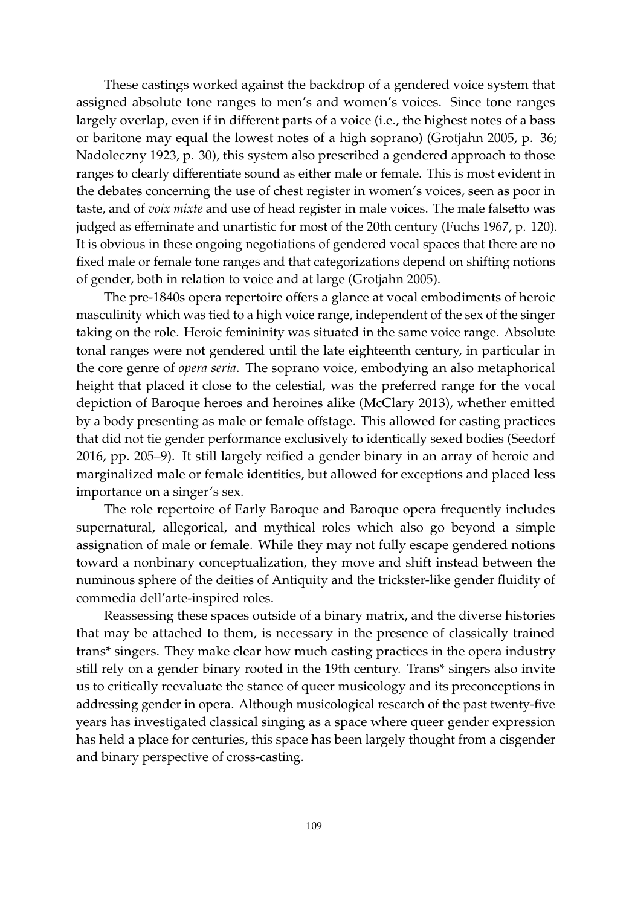These castings worked against the backdrop of a gendered voice system that assigned absolute tone ranges to men's and women's voices. Since tone ranges largely overlap, even if in different parts of a voice (i.e., the highest notes of a bass or baritone may equal the lowest notes of a high soprano) [\(Grotjahn](#page-16-3) [2005,](#page-16-3) p. 36; [Nadoleczny](#page-17-2) [1923,](#page-17-2) p. 30), this system also prescribed a gendered approach to those ranges to clearly differentiate sound as either male or female. This is most evident in the debates concerning the use of chest register in women's voices, seen as poor in taste, and of *voix mixte* and use of head register in male voices. The male falsetto was judged as effeminate and unartistic for most of the 20th century [\(Fuchs](#page-16-4) [1967,](#page-16-4) p. 120). It is obvious in these ongoing negotiations of gendered vocal spaces that there are no fixed male or female tone ranges and that categorizations depend on shifting notions of gender, both in relation to voice and at large [\(Grotjahn](#page-16-3) [2005\)](#page-16-3).

The pre-1840s opera repertoire offers a glance at vocal embodiments of heroic masculinity which was tied to a high voice range, independent of the sex of the singer taking on the role. Heroic femininity was situated in the same voice range. Absolute tonal ranges were not gendered until the late eighteenth century, in particular in the core genre of *opera seria*. The soprano voice, embodying an also metaphorical height that placed it close to the celestial, was the preferred range for the vocal depiction of Baroque heroes and heroines alike [\(McClary](#page-17-3) [2013\)](#page-17-3), whether emitted by a body presenting as male or female offstage. This allowed for casting practices that did not tie gender performance exclusively to identically sexed bodies [\(Seedorf](#page-18-2) [2016,](#page-18-2) pp. 205–9). It still largely reified a gender binary in an array of heroic and marginalized male or female identities, but allowed for exceptions and placed less importance on a singer's sex.

The role repertoire of Early Baroque and Baroque opera frequently includes supernatural, allegorical, and mythical roles which also go beyond a simple assignation of male or female. While they may not fully escape gendered notions toward a nonbinary conceptualization, they move and shift instead between the numinous sphere of the deities of Antiquity and the trickster-like gender fluidity of commedia dell'arte-inspired roles.

Reassessing these spaces outside of a binary matrix, and the diverse histories that may be attached to them, is necessary in the presence of classically trained trans\* singers. They make clear how much casting practices in the opera industry still rely on a gender binary rooted in the 19th century. Trans\* singers also invite us to critically reevaluate the stance of queer musicology and its preconceptions in addressing gender in opera. Although musicological research of the past twenty-five years has investigated classical singing as a space where queer gender expression has held a place for centuries, this space has been largely thought from a cisgender and binary perspective of cross-casting.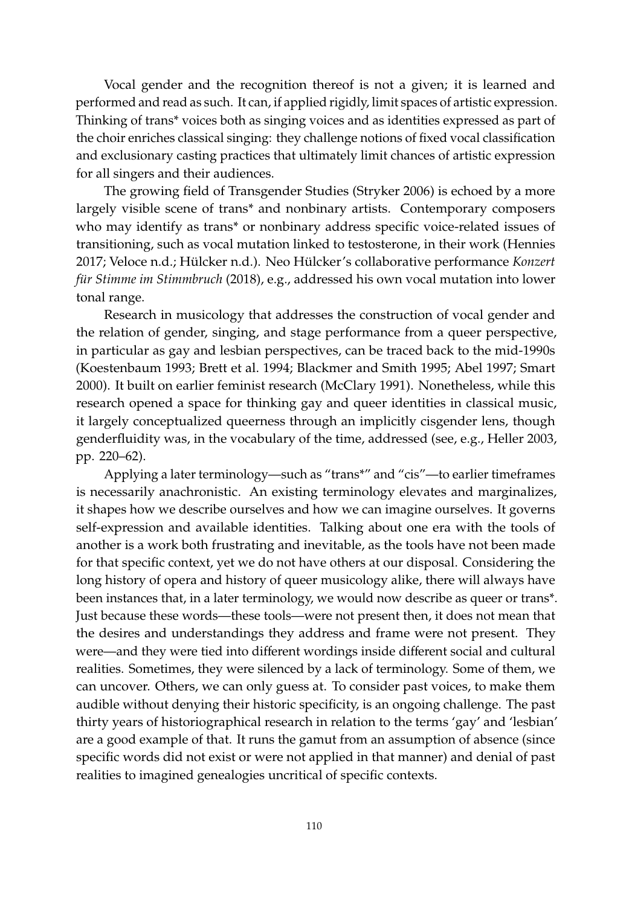Vocal gender and the recognition thereof is not a given; it is learned and performed and read as such. It can, if applied rigidly, limit spaces of artistic expression. Thinking of trans\* voices both as singing voices and as identities expressed as part of the choir enriches classical singing: they challenge notions of fixed vocal classification and exclusionary casting practices that ultimately limit chances of artistic expression for all singers and their audiences.

The growing field of Transgender Studies [\(Stryker](#page-18-3) [2006\)](#page-18-3) is echoed by a more largely visible scene of trans\* and nonbinary artists. Contemporary composers who may identify as trans\* or nonbinary address specific voice-related issues of transitioning, such as vocal mutation linked to testosterone, in their work [\(Hennies](#page-17-4) [2017;](#page-17-4) [Veloce](#page-18-4) [n.d.;](#page-18-4) [Hülcker](#page-17-5) [n.d.\)](#page-17-5). Neo Hülcker's collaborative performance *Konzert für Stimme im Stimmbruch* (2018), e.g., addressed his own vocal mutation into lower tonal range.

Research in musicology that addresses the construction of vocal gender and the relation of gender, singing, and stage performance from a queer perspective, in particular as gay and lesbian perspectives, can be traced back to the mid-1990s [\(Koestenbaum](#page-17-6) [1993;](#page-17-6) [Brett et al.](#page-15-6) [1994;](#page-15-6) [Blackmer and Smith](#page-15-5) [1995;](#page-15-5) [Abel](#page-15-7) [1997;](#page-15-7) [Smart](#page-18-5) [2000\)](#page-18-5). It built on earlier feminist research [\(McClary](#page-17-7) [1991\)](#page-17-7). Nonetheless, while this research opened a space for thinking gay and queer identities in classical music, it largely conceptualized queerness through an implicitly cisgender lens, though genderfluidity was, in the vocabulary of the time, addressed (see, e.g., [Heller](#page-17-8) [2003,](#page-17-8) pp. 220–62).

Applying a later terminology—such as "trans\*" and "cis"—to earlier timeframes is necessarily anachronistic. An existing terminology elevates and marginalizes, it shapes how we describe ourselves and how we can imagine ourselves. It governs self-expression and available identities. Talking about one era with the tools of another is a work both frustrating and inevitable, as the tools have not been made for that specific context, yet we do not have others at our disposal. Considering the long history of opera and history of queer musicology alike, there will always have been instances that, in a later terminology, we would now describe as queer or trans\*. Just because these words—these tools—were not present then, it does not mean that the desires and understandings they address and frame were not present. They were—and they were tied into different wordings inside different social and cultural realities. Sometimes, they were silenced by a lack of terminology. Some of them, we can uncover. Others, we can only guess at. To consider past voices, to make them audible without denying their historic specificity, is an ongoing challenge. The past thirty years of historiographical research in relation to the terms 'gay' and 'lesbian' are a good example of that. It runs the gamut from an assumption of absence (since specific words did not exist or were not applied in that manner) and denial of past realities to imagined genealogies uncritical of specific contexts.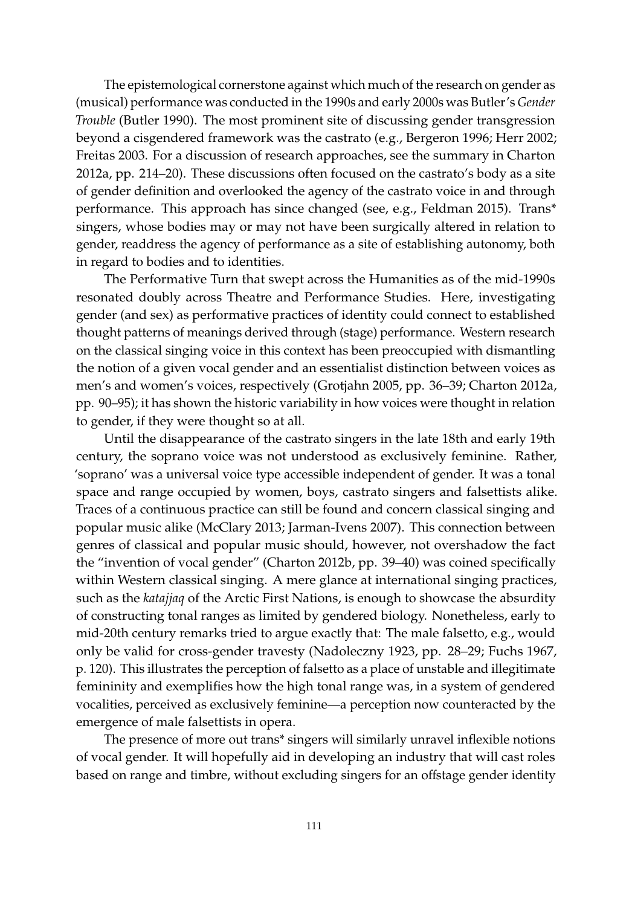The epistemological cornerstone against which much of the research on gender as (musical) performance was conducted in the 1990s and early 2000s was Butler's *Gender Trouble* [\(Butler](#page-15-2) [1990\)](#page-15-2). The most prominent site of discussing gender transgression beyond a cisgendered framework was the castrato (e.g., [Bergeron](#page-15-8) [1996;](#page-15-8) [Herr](#page-17-9) [2002;](#page-17-9) [Freitas](#page-16-5) [2003.](#page-16-5) For a discussion of research approaches, see the summary in [Charton](#page-15-4) [2012a,](#page-15-4) pp. 214–20). These discussions often focused on the castrato's body as a site of gender definition and overlooked the agency of the castrato voice in and through performance. This approach has since changed (see, e.g., [Feldman](#page-16-6) [2015\)](#page-16-6). Trans\* singers, whose bodies may or may not have been surgically altered in relation to gender, readdress the agency of performance as a site of establishing autonomy, both in regard to bodies and to identities.

The Performative Turn that swept across the Humanities as of the mid-1990s resonated doubly across Theatre and Performance Studies. Here, investigating gender (and sex) as performative practices of identity could connect to established thought patterns of meanings derived through (stage) performance. Western research on the classical singing voice in this context has been preoccupied with dismantling the notion of a given vocal gender and an essentialist distinction between voices as men's and women's voices, respectively [\(Grotjahn](#page-16-3) [2005,](#page-16-3) pp. 36–39; [Charton](#page-15-4) [2012a,](#page-15-4) pp. 90–95); it has shown the historic variability in how voices were thought in relation to gender, if they were thought so at all.

Until the disappearance of the castrato singers in the late 18th and early 19th century, the soprano voice was not understood as exclusively feminine. Rather, 'soprano' was a universal voice type accessible independent of gender. It was a tonal space and range occupied by women, boys, castrato singers and falsettists alike. Traces of a continuous practice can still be found and concern classical singing and popular music alike [\(McClary](#page-17-3) [2013;](#page-17-3) [Jarman-Ivens](#page-17-10) [2007\)](#page-17-10). This connection between genres of classical and popular music should, however, not overshadow the fact the "invention of vocal gender" [\(Charton](#page-16-7) [2012b,](#page-16-7) pp. 39–40) was coined specifically within Western classical singing. A mere glance at international singing practices, such as the *katajjaq* of the Arctic First Nations, is enough to showcase the absurdity of constructing tonal ranges as limited by gendered biology. Nonetheless, early to mid-20th century remarks tried to argue exactly that: The male falsetto, e.g., would only be valid for cross-gender travesty [\(Nadoleczny](#page-17-2) [1923,](#page-17-2) pp. 28–29; [Fuchs](#page-16-4) [1967,](#page-16-4) p. 120). This illustrates the perception of falsetto as a place of unstable and illegitimate femininity and exemplifies how the high tonal range was, in a system of gendered vocalities, perceived as exclusively feminine—a perception now counteracted by the emergence of male falsettists in opera.

The presence of more out trans\* singers will similarly unravel inflexible notions of vocal gender. It will hopefully aid in developing an industry that will cast roles based on range and timbre, without excluding singers for an offstage gender identity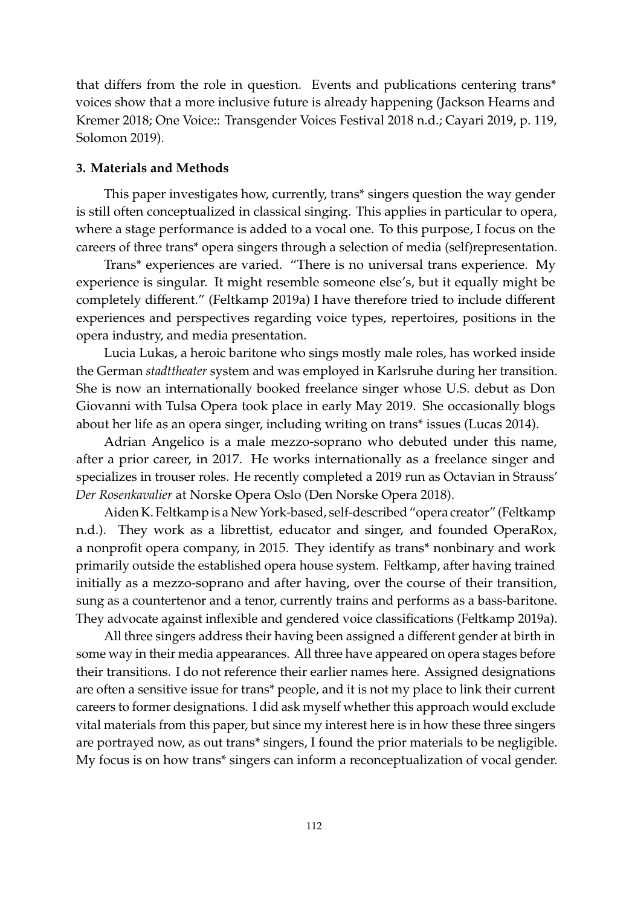that differs from the role in question. Events and publications centering trans\* voices show that a more inclusive future is already happening [\(Jackson Hearns and](#page-17-11) [Kremer](#page-17-11) [2018;](#page-17-11) [One Voice:: Transgender Voices Festival 2018](#page-18-6) [n.d.;](#page-18-6) [Cayari](#page-15-9) [2019,](#page-15-9) p. 119, Solomon 2019).

# **3. Materials and Methods**

This paper investigates how, currently, trans\* singers question the way gender is still often conceptualized in classical singing. This applies in particular to opera, where a stage performance is added to a vocal one. To this purpose, I focus on the careers of three trans\* opera singers through a selection of media (self)representation.

Trans\* experiences are varied. "There is no universal trans experience. My experience is singular. It might resemble someone else's, but it equally might be completely different." [\(Feltkamp](#page-16-8) [2019a\)](#page-16-8) I have therefore tried to include different experiences and perspectives regarding voice types, repertoires, positions in the opera industry, and media presentation.

Lucia Lukas, a heroic baritone who sings mostly male roles, has worked inside the German *stadttheater* system and was employed in Karlsruhe during her transition. She is now an internationally booked freelance singer whose U.S. debut as Don Giovanni with Tulsa Opera took place in early May 2019. She occasionally blogs about her life as an opera singer, including writing on trans\* issues [\(Lucas](#page-17-12) [2014\)](#page-17-12).

Adrian Angelico is a male mezzo-soprano who debuted under this name, after a prior career, in 2017. He works internationally as a freelance singer and specializes in trouser roles. He recently completed a 2019 run as Octavian in Strauss' *Der Rosenkavalier* at Norske Opera Oslo [\(Den Norske Opera](#page-16-9) [2018\)](#page-16-9).

Aiden K. Feltkamp is a New York-based, self-described "opera creator" [\(Feltkamp](#page-16-0) [n.d.\)](#page-16-0). They work as a librettist, educator and singer, and founded OperaRox, a nonprofit opera company, in 2015. They identify as trans\* nonbinary and work primarily outside the established opera house system. Feltkamp, after having trained initially as a mezzo-soprano and after having, over the course of their transition, sung as a countertenor and a tenor, currently trains and performs as a bass-baritone. They advocate against inflexible and gendered voice classifications [\(Feltkamp](#page-16-8) [2019a\)](#page-16-8).

All three singers address their having been assigned a different gender at birth in some way in their media appearances. All three have appeared on opera stages before their transitions. I do not reference their earlier names here. Assigned designations are often a sensitive issue for trans\* people, and it is not my place to link their current careers to former designations. I did ask myself whether this approach would exclude vital materials from this paper, but since my interest here is in how these three singers are portrayed now, as out trans\* singers, I found the prior materials to be negligible. My focus is on how trans\* singers can inform a reconceptualization of vocal gender.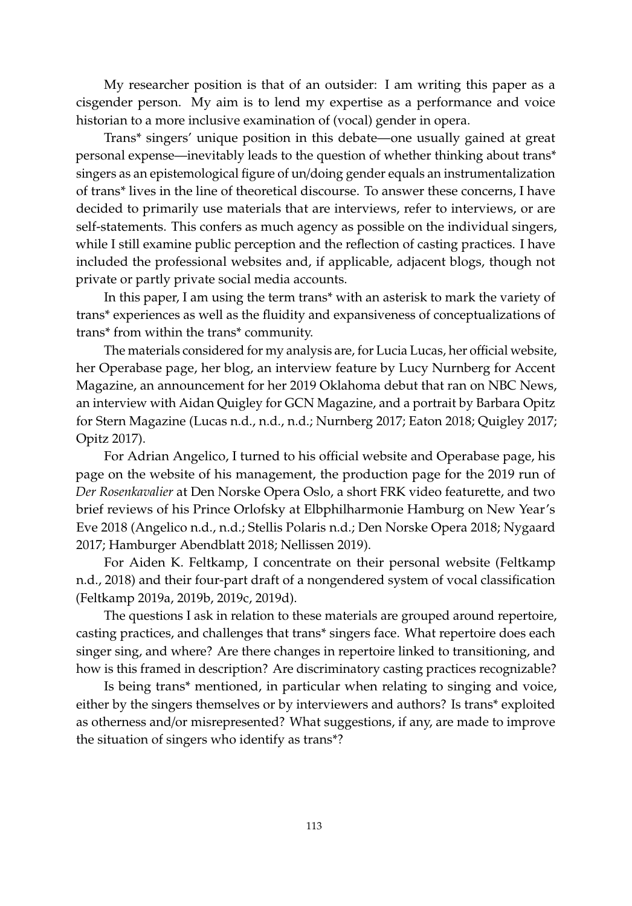My researcher position is that of an outsider: I am writing this paper as a cisgender person. My aim is to lend my expertise as a performance and voice historian to a more inclusive examination of (vocal) gender in opera.

Trans\* singers' unique position in this debate—one usually gained at great personal expense—inevitably leads to the question of whether thinking about trans\* singers as an epistemological figure of un/doing gender equals an instrumentalization of trans\* lives in the line of theoretical discourse. To answer these concerns, I have decided to primarily use materials that are interviews, refer to interviews, or are self-statements. This confers as much agency as possible on the individual singers, while I still examine public perception and the reflection of casting practices. I have included the professional websites and, if applicable, adjacent blogs, though not private or partly private social media accounts.

In this paper, I am using the term trans\* with an asterisk to mark the variety of trans\* experiences as well as the fluidity and expansiveness of conceptualizations of trans\* from within the trans\* community.

The materials considered for my analysis are, for Lucia Lucas, her official website, her Operabase page, her blog, an interview feature by Lucy Nurnberg for Accent Magazine, an announcement for her 2019 Oklahoma debut that ran on NBC News, an interview with Aidan Quigley for GCN Magazine, and a portrait by Barbara Opitz for Stern Magazine [\(Lucas](#page-17-0) [n.d.,](#page-17-0) [n.d.,](#page-17-0) [n.d.;](#page-17-0) [Nurnberg](#page-18-7) [2017;](#page-18-7) [Eaton](#page-16-10) [2018;](#page-16-10) [Quigley](#page-18-8) [2017;](#page-18-8) [Opitz](#page-18-9) [2017\)](#page-18-9).

For Adrian Angelico, I turned to his official website and Operabase page, his page on the website of his management, the production page for the 2019 run of *Der Rosenkavalier* at Den Norske Opera Oslo, a short FRK video featurette, and two brief reviews of his Prince Orlofsky at Elbphilharmonie Hamburg on New Year's Eve 2018 [\(Angelico](#page-15-0) [n.d.,](#page-15-0) [n.d.;](#page-15-0) [Stellis Polaris](#page-18-10) [n.d.;](#page-18-10) [Den Norske Opera](#page-16-9) [2018;](#page-16-9) [Nygaard](#page-18-11) [2017;](#page-18-11) [Hamburger Abendblatt](#page-16-11) [2018;](#page-16-11) [Nellissen](#page-17-13) [2019\)](#page-17-13).

For Aiden K. Feltkamp, I concentrate on their personal website [\(Feltkamp](#page-16-0) [n.d.,](#page-16-0) [2018\)](#page-16-12) and their four-part draft of a nongendered system of vocal classification [\(Feltkamp](#page-16-8) [2019a,](#page-16-8) [2019b,](#page-16-13) [2019c,](#page-16-14) [2019d\)](#page-16-15).

The questions I ask in relation to these materials are grouped around repertoire, casting practices, and challenges that trans\* singers face. What repertoire does each singer sing, and where? Are there changes in repertoire linked to transitioning, and how is this framed in description? Are discriminatory casting practices recognizable?

Is being trans\* mentioned, in particular when relating to singing and voice, either by the singers themselves or by interviewers and authors? Is trans\* exploited as otherness and/or misrepresented? What suggestions, if any, are made to improve the situation of singers who identify as trans\*?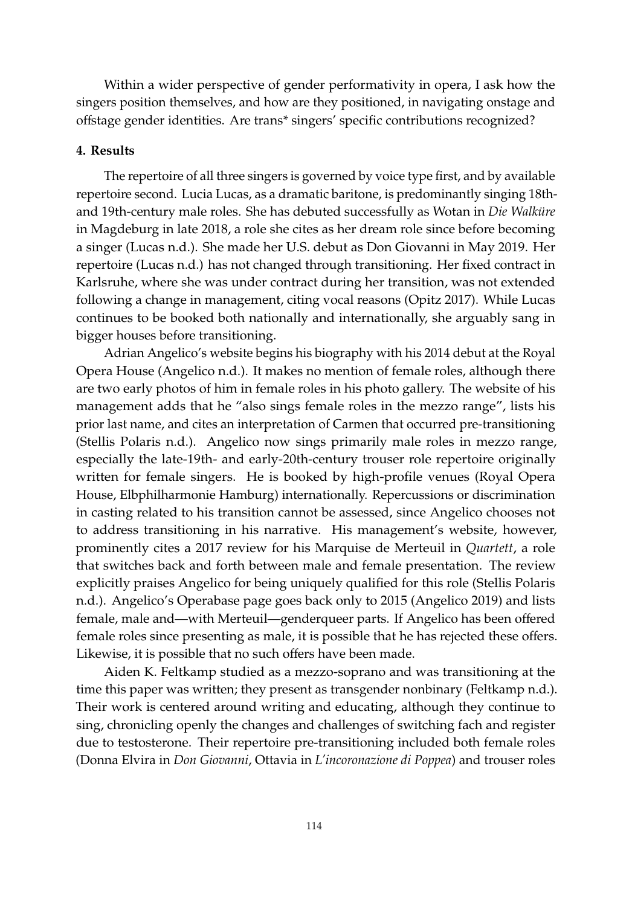Within a wider perspective of gender performativity in opera, I ask how the singers position themselves, and how are they positioned, in navigating onstage and offstage gender identities. Are trans\* singers' specific contributions recognized?

#### **4. Results**

The repertoire of all three singers is governed by voice type first, and by available repertoire second. Lucia Lucas, as a dramatic baritone, is predominantly singing 18thand 19th-century male roles. She has debuted successfully as Wotan in *Die Walküre* in Magdeburg in late 2018, a role she cites as her dream role since before becoming a singer [\(Lucas](#page-17-0) [n.d.\)](#page-17-0). She made her U.S. debut as Don Giovanni in May 2019. Her repertoire [\(Lucas](#page-17-0) [n.d.\)](#page-17-0) has not changed through transitioning. Her fixed contract in Karlsruhe, where she was under contract during her transition, was not extended following a change in management, citing vocal reasons [\(Opitz](#page-18-9) [2017\)](#page-18-9). While Lucas continues to be booked both nationally and internationally, she arguably sang in bigger houses before transitioning.

Adrian Angelico's website begins his biography with his 2014 debut at the Royal Opera House [\(Angelico](#page-15-0) [n.d.\)](#page-15-0). It makes no mention of female roles, although there are two early photos of him in female roles in his photo gallery. The website of his management adds that he "also sings female roles in the mezzo range", lists his prior last name, and cites an interpretation of Carmen that occurred pre-transitioning [\(Stellis Polaris](#page-18-10) [n.d.\)](#page-18-10). Angelico now sings primarily male roles in mezzo range, especially the late-19th- and early-20th-century trouser role repertoire originally written for female singers. He is booked by high-profile venues (Royal Opera House, Elbphilharmonie Hamburg) internationally. Repercussions or discrimination in casting related to his transition cannot be assessed, since Angelico chooses not to address transitioning in his narrative. His management's website, however, prominently cites a 2017 review for his Marquise de Merteuil in *Quartett*, a role that switches back and forth between male and female presentation. The review explicitly praises Angelico for being uniquely qualified for this role [\(Stellis Polaris](#page-18-10) [n.d.\)](#page-18-10). Angelico's Operabase page goes back only to 2015 [\(Angelico](#page-15-10) [2019\)](#page-15-10) and lists female, male and—with Merteuil—genderqueer parts. If Angelico has been offered female roles since presenting as male, it is possible that he has rejected these offers. Likewise, it is possible that no such offers have been made.

Aiden K. Feltkamp studied as a mezzo-soprano and was transitioning at the time this paper was written; they present as transgender nonbinary [\(Feltkamp](#page-16-0) [n.d.\)](#page-16-0). Their work is centered around writing and educating, although they continue to sing, chronicling openly the changes and challenges of switching fach and register due to testosterone. Their repertoire pre-transitioning included both female roles (Donna Elvira in *Don Giovanni*, Ottavia in *L'incoronazione di Poppea*) and trouser roles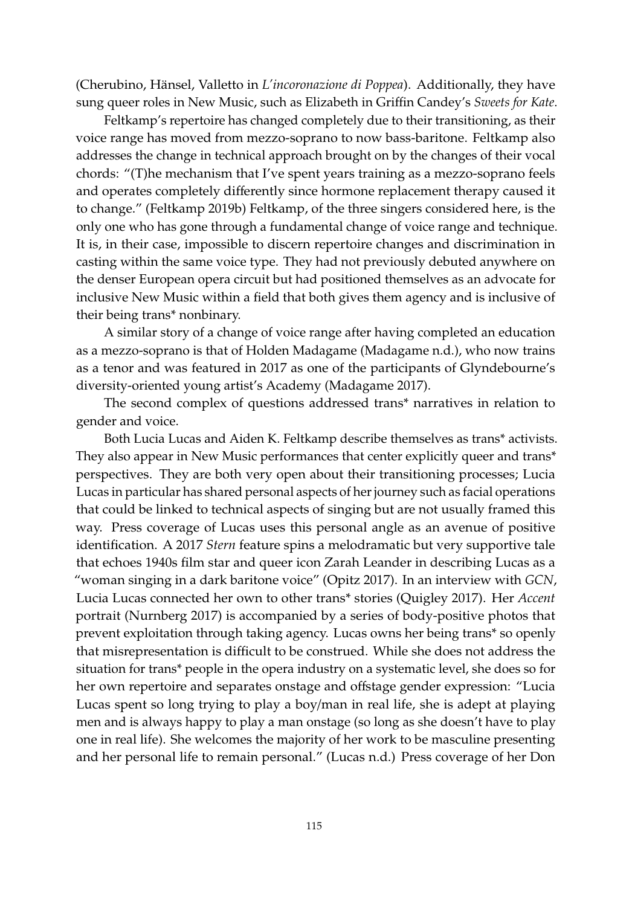(Cherubino, Hänsel, Valletto in *L'incoronazione di Poppea*). Additionally, they have sung queer roles in New Music, such as Elizabeth in Griffin Candey's *Sweets for Kate*.

Feltkamp's repertoire has changed completely due to their transitioning, as their voice range has moved from mezzo-soprano to now bass-baritone. Feltkamp also addresses the change in technical approach brought on by the changes of their vocal chords: "(T)he mechanism that I've spent years training as a mezzo-soprano feels and operates completely differently since hormone replacement therapy caused it to change." [\(Feltkamp](#page-16-13) [2019b\)](#page-16-13) Feltkamp, of the three singers considered here, is the only one who has gone through a fundamental change of voice range and technique. It is, in their case, impossible to discern repertoire changes and discrimination in casting within the same voice type. They had not previously debuted anywhere on the denser European opera circuit but had positioned themselves as an advocate for inclusive New Music within a field that both gives them agency and is inclusive of their being trans\* nonbinary.

A similar story of a change of voice range after having completed an education as a mezzo-soprano is that of Holden Madagame [\(Madagame](#page-17-14) [n.d.\)](#page-17-14), who now trains as a tenor and was featured in 2017 as one of the participants of Glyndebourne's diversity-oriented young artist's Academy [\(Madagame](#page-17-15) [2017\)](#page-17-15).

The second complex of questions addressed trans\* narratives in relation to gender and voice.

Both Lucia Lucas and Aiden K. Feltkamp describe themselves as trans\* activists. They also appear in New Music performances that center explicitly queer and trans\* perspectives. They are both very open about their transitioning processes; Lucia Lucas in particular has shared personal aspects of her journey such as facial operations that could be linked to technical aspects of singing but are not usually framed this way. Press coverage of Lucas uses this personal angle as an avenue of positive identification. A 2017 *Stern* feature spins a melodramatic but very supportive tale that echoes 1940s film star and queer icon Zarah Leander in describing Lucas as a "woman singing in a dark baritone voice" [\(Opitz](#page-18-9) [2017\)](#page-18-9). In an interview with *GCN*, Lucia Lucas connected her own to other trans\* stories [\(Quigley](#page-18-8) [2017\)](#page-18-8). Her *Accent* portrait [\(Nurnberg](#page-18-7) [2017\)](#page-18-7) is accompanied by a series of body-positive photos that prevent exploitation through taking agency. Lucas owns her being trans\* so openly that misrepresentation is difficult to be construed. While she does not address the situation for trans\* people in the opera industry on a systematic level, she does so for her own repertoire and separates onstage and offstage gender expression: "Lucia Lucas spent so long trying to play a boy/man in real life, she is adept at playing men and is always happy to play a man onstage (so long as she doesn't have to play one in real life). She welcomes the majority of her work to be masculine presenting and her personal life to remain personal." [\(Lucas](#page-17-0) [n.d.\)](#page-17-0) Press coverage of her Don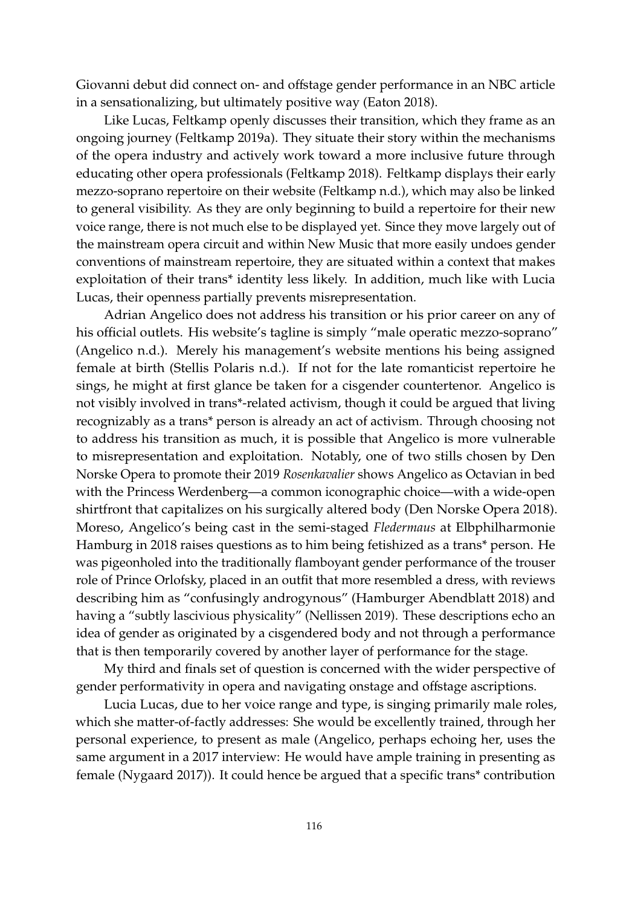Giovanni debut did connect on- and offstage gender performance in an NBC article in a sensationalizing, but ultimately positive way [\(Eaton](#page-16-10) [2018\)](#page-16-10).

Like Lucas, Feltkamp openly discusses their transition, which they frame as an ongoing journey [\(Feltkamp](#page-16-8) [2019a\)](#page-16-8). They situate their story within the mechanisms of the opera industry and actively work toward a more inclusive future through educating other opera professionals [\(Feltkamp](#page-16-12) [2018\)](#page-16-12). Feltkamp displays their early mezzo-soprano repertoire on their website [\(Feltkamp](#page-16-0) [n.d.\)](#page-16-0), which may also be linked to general visibility. As they are only beginning to build a repertoire for their new voice range, there is not much else to be displayed yet. Since they move largely out of the mainstream opera circuit and within New Music that more easily undoes gender conventions of mainstream repertoire, they are situated within a context that makes exploitation of their trans\* identity less likely. In addition, much like with Lucia Lucas, their openness partially prevents misrepresentation.

Adrian Angelico does not address his transition or his prior career on any of his official outlets. His website's tagline is simply "male operatic mezzo-soprano" [\(Angelico](#page-15-0) [n.d.\)](#page-15-0). Merely his management's website mentions his being assigned female at birth [\(Stellis Polaris](#page-18-10) [n.d.\)](#page-18-10). If not for the late romanticist repertoire he sings, he might at first glance be taken for a cisgender countertenor. Angelico is not visibly involved in trans\*-related activism, though it could be argued that living recognizably as a trans\* person is already an act of activism. Through choosing not to address his transition as much, it is possible that Angelico is more vulnerable to misrepresentation and exploitation. Notably, one of two stills chosen by Den Norske Opera to promote their 2019 *Rosenkavalier* shows Angelico as Octavian in bed with the Princess Werdenberg—a common iconographic choice—with a wide-open shirtfront that capitalizes on his surgically altered body [\(Den Norske Opera](#page-16-9) [2018\)](#page-16-9). Moreso, Angelico's being cast in the semi-staged *Fledermaus* at Elbphilharmonie Hamburg in 2018 raises questions as to him being fetishized as a trans\* person. He was pigeonholed into the traditionally flamboyant gender performance of the trouser role of Prince Orlofsky, placed in an outfit that more resembled a dress, with reviews describing him as "confusingly androgynous" [\(Hamburger Abendblatt](#page-16-11) [2018\)](#page-16-11) and having a "subtly lascivious physicality" [\(Nellissen](#page-17-13) [2019\)](#page-17-13). These descriptions echo an idea of gender as originated by a cisgendered body and not through a performance that is then temporarily covered by another layer of performance for the stage.

My third and finals set of question is concerned with the wider perspective of gender performativity in opera and navigating onstage and offstage ascriptions.

Lucia Lucas, due to her voice range and type, is singing primarily male roles, which she matter-of-factly addresses: She would be excellently trained, through her personal experience, to present as male (Angelico, perhaps echoing her, uses the same argument in a 2017 interview: He would have ample training in presenting as female [\(Nygaard](#page-18-11) [2017\)](#page-18-11)). It could hence be argued that a specific trans\* contribution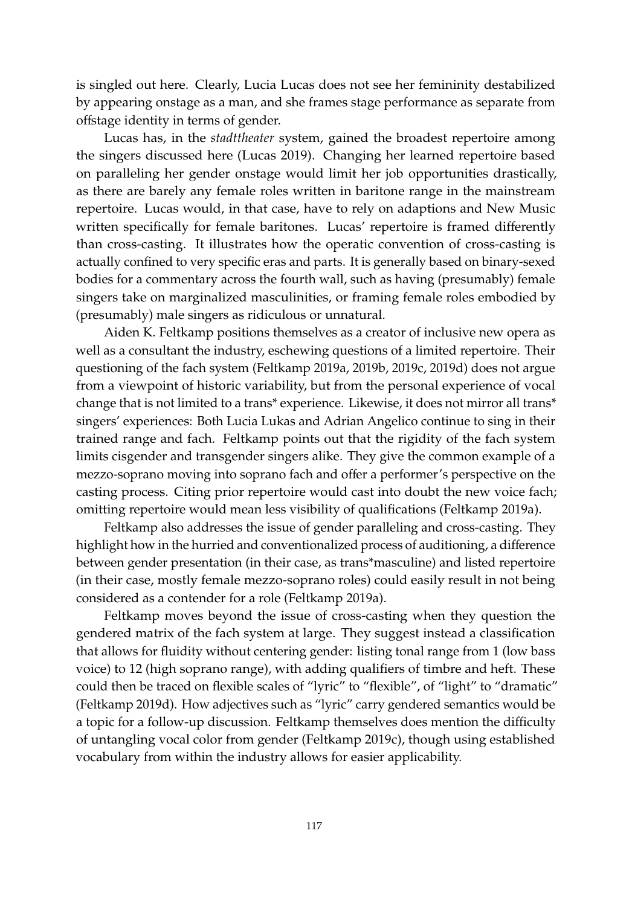is singled out here. Clearly, Lucia Lucas does not see her femininity destabilized by appearing onstage as a man, and she frames stage performance as separate from offstage identity in terms of gender.

Lucas has, in the *stadttheater* system, gained the broadest repertoire among the singers discussed here [\(Lucas](#page-17-16) [2019\)](#page-17-16). Changing her learned repertoire based on paralleling her gender onstage would limit her job opportunities drastically, as there are barely any female roles written in baritone range in the mainstream repertoire. Lucas would, in that case, have to rely on adaptions and New Music written specifically for female baritones. Lucas' repertoire is framed differently than cross-casting. It illustrates how the operatic convention of cross-casting is actually confined to very specific eras and parts. It is generally based on binary-sexed bodies for a commentary across the fourth wall, such as having (presumably) female singers take on marginalized masculinities, or framing female roles embodied by (presumably) male singers as ridiculous or unnatural.

Aiden K. Feltkamp positions themselves as a creator of inclusive new opera as well as a consultant the industry, eschewing questions of a limited repertoire. Their questioning of the fach system [\(Feltkamp](#page-16-8) [2019a,](#page-16-8) [2019b,](#page-16-13) [2019c,](#page-16-14) [2019d\)](#page-16-15) does not argue from a viewpoint of historic variability, but from the personal experience of vocal change that is not limited to a trans\* experience. Likewise, it does not mirror all trans\* singers' experiences: Both Lucia Lukas and Adrian Angelico continue to sing in their trained range and fach. Feltkamp points out that the rigidity of the fach system limits cisgender and transgender singers alike. They give the common example of a mezzo-soprano moving into soprano fach and offer a performer's perspective on the casting process. Citing prior repertoire would cast into doubt the new voice fach; omitting repertoire would mean less visibility of qualifications [\(Feltkamp](#page-16-8) [2019a\)](#page-16-8).

Feltkamp also addresses the issue of gender paralleling and cross-casting. They highlight how in the hurried and conventionalized process of auditioning, a difference between gender presentation (in their case, as trans\*masculine) and listed repertoire (in their case, mostly female mezzo-soprano roles) could easily result in not being considered as a contender for a role [\(Feltkamp](#page-16-8) [2019a\)](#page-16-8).

Feltkamp moves beyond the issue of cross-casting when they question the gendered matrix of the fach system at large. They suggest instead a classification that allows for fluidity without centering gender: listing tonal range from 1 (low bass voice) to 12 (high soprano range), with adding qualifiers of timbre and heft. These could then be traced on flexible scales of "lyric" to "flexible", of "light" to "dramatic" [\(Feltkamp](#page-16-15) [2019d\)](#page-16-15). How adjectives such as "lyric" carry gendered semantics would be a topic for a follow-up discussion. Feltkamp themselves does mention the difficulty of untangling vocal color from gender [\(Feltkamp](#page-16-14) [2019c\)](#page-16-14), though using established vocabulary from within the industry allows for easier applicability.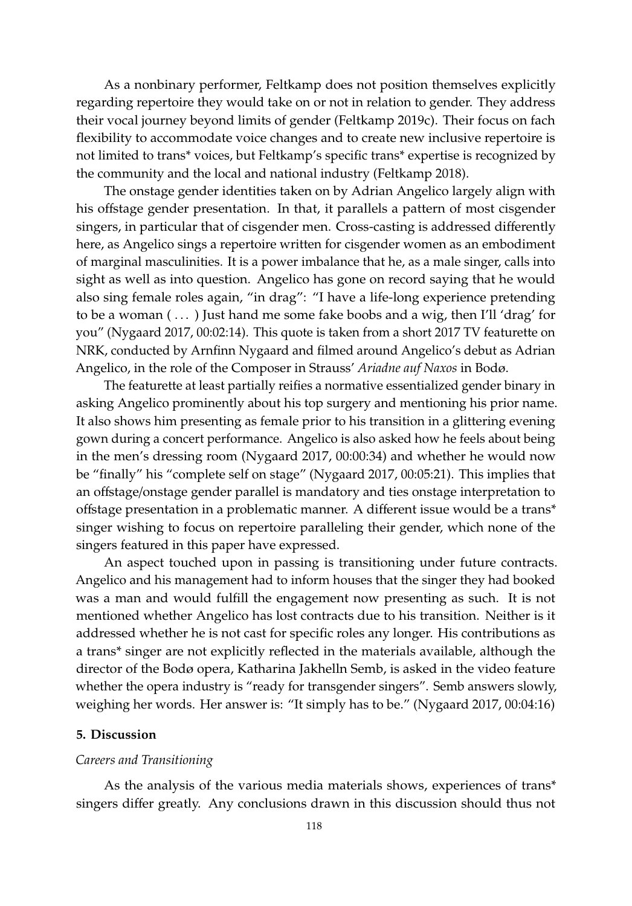As a nonbinary performer, Feltkamp does not position themselves explicitly regarding repertoire they would take on or not in relation to gender. They address their vocal journey beyond limits of gender [\(Feltkamp](#page-16-14) [2019c\)](#page-16-14). Their focus on fach flexibility to accommodate voice changes and to create new inclusive repertoire is not limited to trans\* voices, but Feltkamp's specific trans\* expertise is recognized by the community and the local and national industry [\(Feltkamp](#page-16-12) [2018\)](#page-16-12).

The onstage gender identities taken on by Adrian Angelico largely align with his offstage gender presentation. In that, it parallels a pattern of most cisgender singers, in particular that of cisgender men. Cross-casting is addressed differently here, as Angelico sings a repertoire written for cisgender women as an embodiment of marginal masculinities. It is a power imbalance that he, as a male singer, calls into sight as well as into question. Angelico has gone on record saying that he would also sing female roles again, "in drag": "I have a life-long experience pretending to be a woman ( . . . ) Just hand me some fake boobs and a wig, then I'll 'drag' for you" [\(Nygaard](#page-18-11) [2017,](#page-18-11) 00:02:14). This quote is taken from a short 2017 TV featurette on NRK, conducted by Arnfinn Nygaard and filmed around Angelico's debut as Adrian Angelico, in the role of the Composer in Strauss' *Ariadne auf Naxos* in Bodø.

The featurette at least partially reifies a normative essentialized gender binary in asking Angelico prominently about his top surgery and mentioning his prior name. It also shows him presenting as female prior to his transition in a glittering evening gown during a concert performance. Angelico is also asked how he feels about being in the men's dressing room [\(Nygaard](#page-18-11) [2017,](#page-18-11) 00:00:34) and whether he would now be "finally" his "complete self on stage" [\(Nygaard](#page-18-11) [2017,](#page-18-11) 00:05:21). This implies that an offstage/onstage gender parallel is mandatory and ties onstage interpretation to offstage presentation in a problematic manner. A different issue would be a trans\* singer wishing to focus on repertoire paralleling their gender, which none of the singers featured in this paper have expressed.

An aspect touched upon in passing is transitioning under future contracts. Angelico and his management had to inform houses that the singer they had booked was a man and would fulfill the engagement now presenting as such. It is not mentioned whether Angelico has lost contracts due to his transition. Neither is it addressed whether he is not cast for specific roles any longer. His contributions as a trans\* singer are not explicitly reflected in the materials available, although the director of the Bodø opera, Katharina Jakhelln Semb, is asked in the video feature whether the opera industry is "ready for transgender singers". Semb answers slowly, weighing her words. Her answer is: "It simply has to be." [\(Nygaard](#page-18-11) [2017,](#page-18-11) 00:04:16)

#### **5. Discussion**

## *Careers and Transitioning*

As the analysis of the various media materials shows, experiences of trans\* singers differ greatly. Any conclusions drawn in this discussion should thus not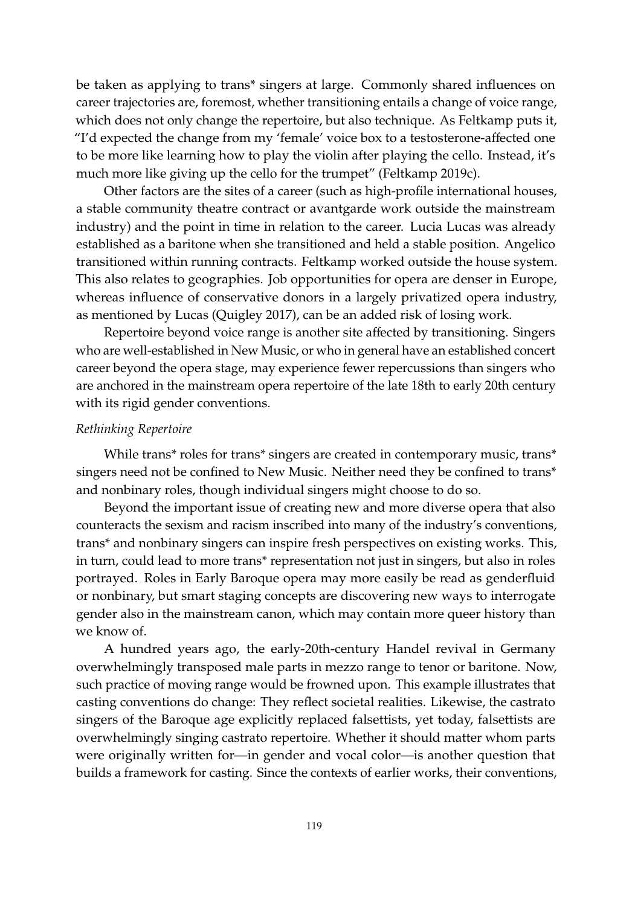be taken as applying to trans\* singers at large. Commonly shared influences on career trajectories are, foremost, whether transitioning entails a change of voice range, which does not only change the repertoire, but also technique. As Feltkamp puts it, "I'd expected the change from my 'female' voice box to a testosterone-affected one to be more like learning how to play the violin after playing the cello. Instead, it's much more like giving up the cello for the trumpet" [\(Feltkamp](#page-16-14) [2019c\)](#page-16-14).

Other factors are the sites of a career (such as high-profile international houses, a stable community theatre contract or avantgarde work outside the mainstream industry) and the point in time in relation to the career. Lucia Lucas was already established as a baritone when she transitioned and held a stable position. Angelico transitioned within running contracts. Feltkamp worked outside the house system. This also relates to geographies. Job opportunities for opera are denser in Europe, whereas influence of conservative donors in a largely privatized opera industry, as mentioned by Lucas [\(Quigley](#page-18-8) [2017\)](#page-18-8), can be an added risk of losing work.

Repertoire beyond voice range is another site affected by transitioning. Singers who are well-established in New Music, or who in general have an established concert career beyond the opera stage, may experience fewer repercussions than singers who are anchored in the mainstream opera repertoire of the late 18th to early 20th century with its rigid gender conventions.

# *Rethinking Repertoire*

While trans<sup>\*</sup> roles for trans<sup>\*</sup> singers are created in contemporary music, trans<sup>\*</sup> singers need not be confined to New Music. Neither need they be confined to trans\* and nonbinary roles, though individual singers might choose to do so.

Beyond the important issue of creating new and more diverse opera that also counteracts the sexism and racism inscribed into many of the industry's conventions, trans\* and nonbinary singers can inspire fresh perspectives on existing works. This, in turn, could lead to more trans\* representation not just in singers, but also in roles portrayed. Roles in Early Baroque opera may more easily be read as genderfluid or nonbinary, but smart staging concepts are discovering new ways to interrogate gender also in the mainstream canon, which may contain more queer history than we know of.

A hundred years ago, the early-20th-century Handel revival in Germany overwhelmingly transposed male parts in mezzo range to tenor or baritone. Now, such practice of moving range would be frowned upon. This example illustrates that casting conventions do change: They reflect societal realities. Likewise, the castrato singers of the Baroque age explicitly replaced falsettists, yet today, falsettists are overwhelmingly singing castrato repertoire. Whether it should matter whom parts were originally written for—in gender and vocal color—is another question that builds a framework for casting. Since the contexts of earlier works, their conventions,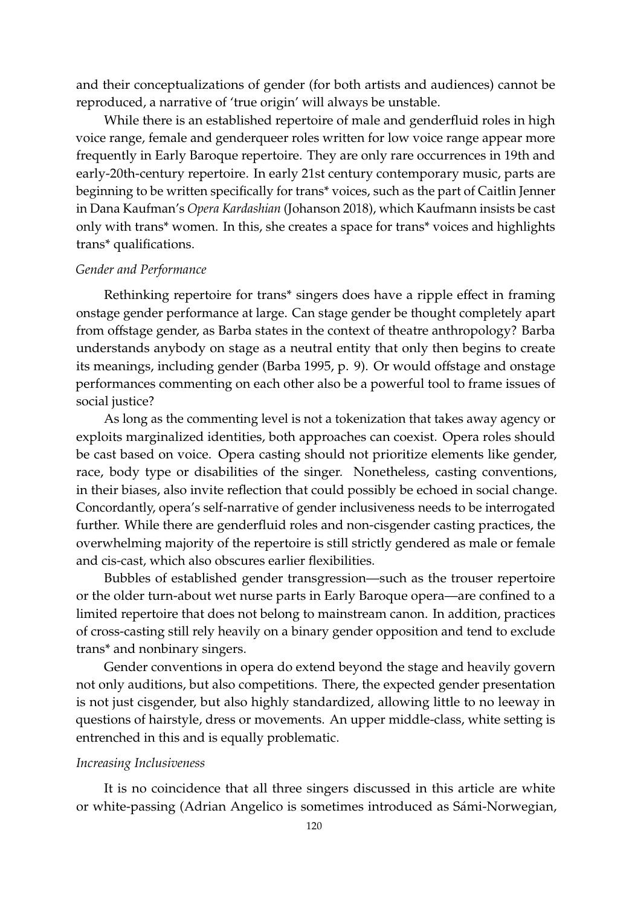and their conceptualizations of gender (for both artists and audiences) cannot be reproduced, a narrative of 'true origin' will always be unstable.

While there is an established repertoire of male and genderfluid roles in high voice range, female and genderqueer roles written for low voice range appear more frequently in Early Baroque repertoire. They are only rare occurrences in 19th and early-20th-century repertoire. In early 21st century contemporary music, parts are beginning to be written specifically for trans\* voices, such as the part of Caitlin Jenner in Dana Kaufman's *Opera Kardashian* [\(Johanson](#page-17-17) [2018\)](#page-17-17), which Kaufmann insists be cast only with trans\* women. In this, she creates a space for trans\* voices and highlights trans\* qualifications.

## *Gender and Performance*

Rethinking repertoire for trans\* singers does have a ripple effect in framing onstage gender performance at large. Can stage gender be thought completely apart from offstage gender, as Barba states in the context of theatre anthropology? Barba understands anybody on stage as a neutral entity that only then begins to create its meanings, including gender [\(Barba](#page-15-1) [1995,](#page-15-1) p. 9). Or would offstage and onstage performances commenting on each other also be a powerful tool to frame issues of social justice?

As long as the commenting level is not a tokenization that takes away agency or exploits marginalized identities, both approaches can coexist. Opera roles should be cast based on voice. Opera casting should not prioritize elements like gender, race, body type or disabilities of the singer. Nonetheless, casting conventions, in their biases, also invite reflection that could possibly be echoed in social change. Concordantly, opera's self-narrative of gender inclusiveness needs to be interrogated further. While there are genderfluid roles and non-cisgender casting practices, the overwhelming majority of the repertoire is still strictly gendered as male or female and cis-cast, which also obscures earlier flexibilities.

Bubbles of established gender transgression—such as the trouser repertoire or the older turn-about wet nurse parts in Early Baroque opera—are confined to a limited repertoire that does not belong to mainstream canon. In addition, practices of cross-casting still rely heavily on a binary gender opposition and tend to exclude trans\* and nonbinary singers.

Gender conventions in opera do extend beyond the stage and heavily govern not only auditions, but also competitions. There, the expected gender presentation is not just cisgender, but also highly standardized, allowing little to no leeway in questions of hairstyle, dress or movements. An upper middle-class, white setting is entrenched in this and is equally problematic.

#### *Increasing Inclusiveness*

It is no coincidence that all three singers discussed in this article are white or white-passing (Adrian Angelico is sometimes introduced as Sámi-Norwegian,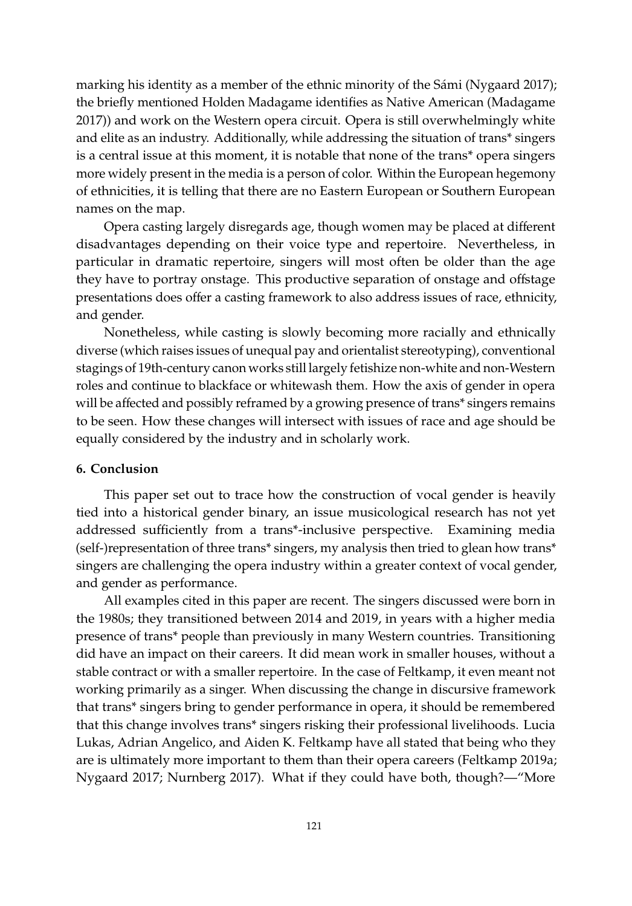marking his identity as a member of the ethnic minority of the Sámi [\(Nygaard](#page-18-11) [2017\)](#page-18-11); the briefly mentioned Holden Madagame identifies as Native American [\(Madagame](#page-17-15) [2017\)](#page-17-15)) and work on the Western opera circuit. Opera is still overwhelmingly white and elite as an industry. Additionally, while addressing the situation of trans\* singers is a central issue at this moment, it is notable that none of the trans\* opera singers more widely present in the media is a person of color. Within the European hegemony of ethnicities, it is telling that there are no Eastern European or Southern European names on the map.

Opera casting largely disregards age, though women may be placed at different disadvantages depending on their voice type and repertoire. Nevertheless, in particular in dramatic repertoire, singers will most often be older than the age they have to portray onstage. This productive separation of onstage and offstage presentations does offer a casting framework to also address issues of race, ethnicity, and gender.

Nonetheless, while casting is slowly becoming more racially and ethnically diverse (which raises issues of unequal pay and orientalist stereotyping), conventional stagings of 19th-century canon works still largely fetishize non-white and non-Western roles and continue to blackface or whitewash them. How the axis of gender in opera will be affected and possibly reframed by a growing presence of trans<sup>\*</sup> singers remains to be seen. How these changes will intersect with issues of race and age should be equally considered by the industry and in scholarly work.

#### **6. Conclusion**

This paper set out to trace how the construction of vocal gender is heavily tied into a historical gender binary, an issue musicological research has not yet addressed sufficiently from a trans\*-inclusive perspective. Examining media (self-)representation of three trans\* singers, my analysis then tried to glean how trans\* singers are challenging the opera industry within a greater context of vocal gender, and gender as performance.

All examples cited in this paper are recent. The singers discussed were born in the 1980s; they transitioned between 2014 and 2019, in years with a higher media presence of trans\* people than previously in many Western countries. Transitioning did have an impact on their careers. It did mean work in smaller houses, without a stable contract or with a smaller repertoire. In the case of Feltkamp, it even meant not working primarily as a singer. When discussing the change in discursive framework that trans\* singers bring to gender performance in opera, it should be remembered that this change involves trans\* singers risking their professional livelihoods. Lucia Lukas, Adrian Angelico, and Aiden K. Feltkamp have all stated that being who they are is ultimately more important to them than their opera careers [\(Feltkamp](#page-16-8) [2019a;](#page-16-8) [Nygaard](#page-18-11) [2017;](#page-18-11) [Nurnberg](#page-18-7) [2017\)](#page-18-7). What if they could have both, though?—"More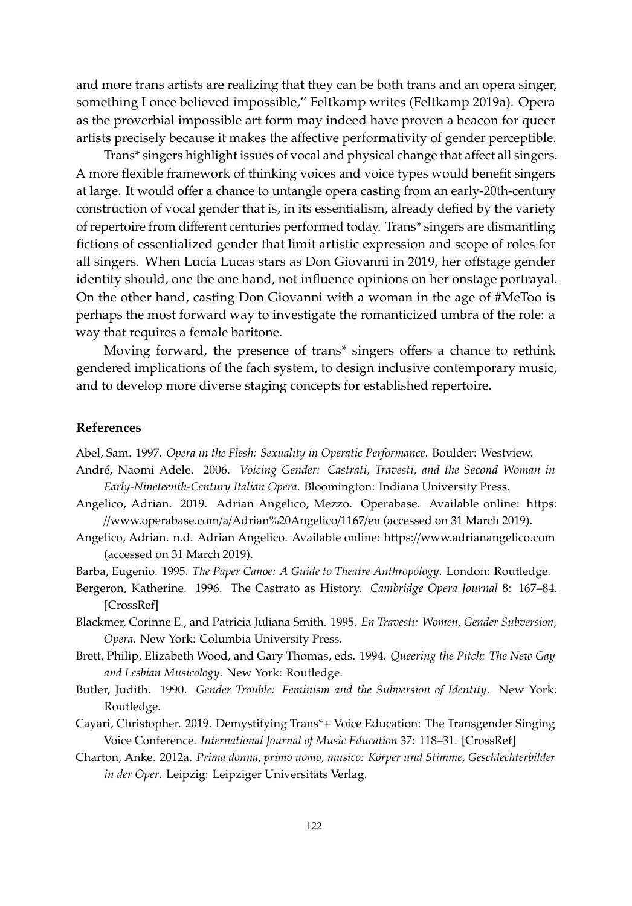and more trans artists are realizing that they can be both trans and an opera singer, something I once believed impossible," Feltkamp writes [\(Feltkamp](#page-16-8) [2019a\)](#page-16-8). Opera as the proverbial impossible art form may indeed have proven a beacon for queer artists precisely because it makes the affective performativity of gender perceptible.

Trans\* singers highlight issues of vocal and physical change that affect all singers. A more flexible framework of thinking voices and voice types would benefit singers at large. It would offer a chance to untangle opera casting from an early-20th-century construction of vocal gender that is, in its essentialism, already defied by the variety of repertoire from different centuries performed today. Trans\* singers are dismantling fictions of essentialized gender that limit artistic expression and scope of roles for all singers. When Lucia Lucas stars as Don Giovanni in 2019, her offstage gender identity should, one the one hand, not influence opinions on her onstage portrayal. On the other hand, casting Don Giovanni with a woman in the age of #MeToo is perhaps the most forward way to investigate the romanticized umbra of the role: a way that requires a female baritone.

Moving forward, the presence of trans\* singers offers a chance to rethink gendered implications of the fach system, to design inclusive contemporary music, and to develop more diverse staging concepts for established repertoire.

# **References**

<span id="page-15-7"></span>Abel, Sam. 1997. *Opera in the Flesh: Sexuality in Operatic Performance*. Boulder: Westview.

- <span id="page-15-3"></span>André, Naomi Adele. 2006. *Voicing Gender: Castrati, Travesti, and the Second Woman in Early-Nineteenth-Century Italian Opera*. Bloomington: Indiana University Press.
- <span id="page-15-10"></span>Angelico, Adrian. 2019. Adrian Angelico, Mezzo. Operabase. Available online: [https:](https://www.operabase.com/a/Adrian%20Angelico/1167/en) //[www.operabase.com](https://www.operabase.com/a/Adrian%20Angelico/1167/en)/a/Adrian%20Angelico/1167/en (accessed on 31 March 2019).
- <span id="page-15-0"></span>Angelico, Adrian. n.d. Adrian Angelico. Available online: https://[www.adrianangelico.com](https://www.adrianangelico.com) (accessed on 31 March 2019).
- <span id="page-15-1"></span>Barba, Eugenio. 1995. *The Paper Canoe: A Guide to Theatre Anthropology*. London: Routledge.
- <span id="page-15-8"></span>Bergeron, Katherine. 1996. The Castrato as History. *Cambridge Opera Journal* 8: 167–84. [\[CrossRef\]](http://dx.doi.org/10.1017/S0954586700004675)
- <span id="page-15-5"></span>Blackmer, Corinne E., and Patricia Juliana Smith. 1995. *En Travesti: Women, Gender Subversion, Opera*. New York: Columbia University Press.
- <span id="page-15-6"></span>Brett, Philip, Elizabeth Wood, and Gary Thomas, eds. 1994. *Queering the Pitch: The New Gay and Lesbian Musicology*. New York: Routledge.
- <span id="page-15-2"></span>Butler, Judith. 1990. *Gender Trouble: Feminism and the Subversion of Identity*. New York: Routledge.
- <span id="page-15-9"></span>Cayari, Christopher. 2019. Demystifying Trans\*+ Voice Education: The Transgender Singing Voice Conference. *International Journal of Music Education* 37: 118–31. [\[CrossRef\]](http://dx.doi.org/10.1177/0255761418814577)
- <span id="page-15-4"></span>Charton, Anke. 2012a. *Prima donna, primo uomo, musico: Körper und Stimme, Geschlechterbilder in der Oper*. Leipzig: Leipziger Universitäts Verlag.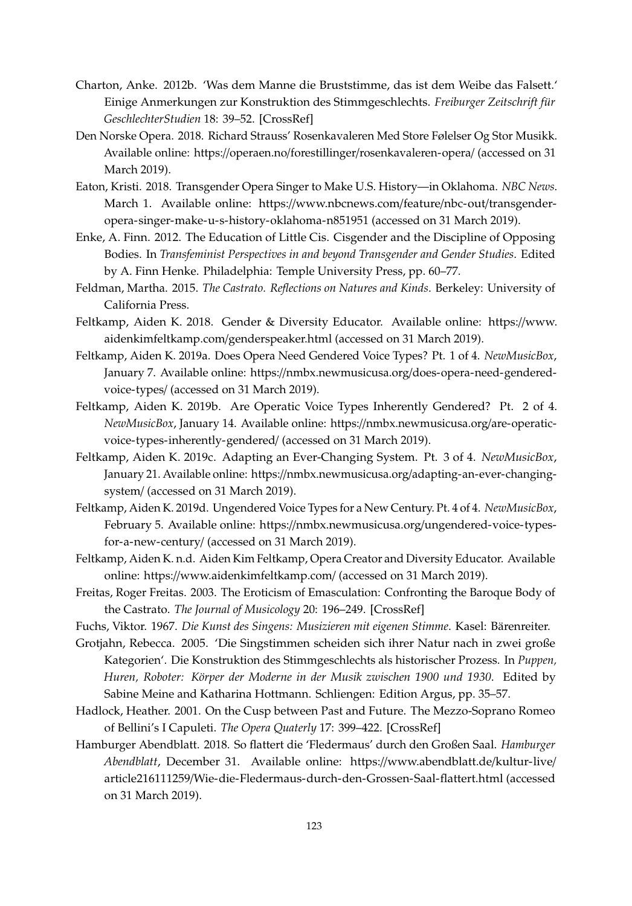- <span id="page-16-7"></span>Charton, Anke. 2012b. 'Was dem Manne die Bruststimme, das ist dem Weibe das Falsett.' Einige Anmerkungen zur Konstruktion des Stimmgeschlechts. *Freiburger Zeitschrift für GeschlechterStudien* 18: 39–52. [\[CrossRef\]](http://dx.doi.org/10.25595/57)
- <span id="page-16-9"></span>Den Norske Opera. 2018. Richard Strauss' Rosenkavaleren Med Store Følelser Og Stor Musikk. Available online: https://operaen.no/forestillinger/[rosenkavaleren-opera](https://operaen.no/forestillinger/rosenkavaleren-opera/)/ (accessed on 31 March 2019).
- <span id="page-16-10"></span>Eaton, Kristi. 2018. Transgender Opera Singer to Make U.S. History—in Oklahoma. *NBC News*. March 1. Available online: https://[www.nbcnews.com](https://www.nbcnews.com/feature/nbc-out/transgender-opera-singer-make-u-s-history-oklahoma-n851951)/feature/nbc-out/transgender[opera-singer-make-u-s-history-oklahoma-n851951](https://www.nbcnews.com/feature/nbc-out/transgender-opera-singer-make-u-s-history-oklahoma-n851951) (accessed on 31 March 2019).
- <span id="page-16-2"></span>Enke, A. Finn. 2012. The Education of Little Cis. Cisgender and the Discipline of Opposing Bodies. In *Transfeminist Perspectives in and beyond Transgender and Gender Studies*. Edited by A. Finn Henke. Philadelphia: Temple University Press, pp. 60–77.
- <span id="page-16-6"></span>Feldman, Martha. 2015. *The Castrato. Reflections on Natures and Kinds*. Berkeley: University of California Press.
- <span id="page-16-12"></span>Feltkamp, Aiden K. 2018. Gender & Diversity Educator. Available online: https://[www.](https://www.aidenkimfeltkamp.com/genderspeaker.html) [aidenkimfeltkamp.com](https://www.aidenkimfeltkamp.com/genderspeaker.html)/genderspeaker.html (accessed on 31 March 2019).
- <span id="page-16-8"></span>Feltkamp, Aiden K. 2019a. Does Opera Need Gendered Voice Types? Pt. 1 of 4. *NewMusicBox*, January 7. Available online: https://nmbx.newmusicusa.org/[does-opera-need-gendered](https://nmbx.newmusicusa.org/does-opera-need-gendered-voice-types/)[voice-types](https://nmbx.newmusicusa.org/does-opera-need-gendered-voice-types/)/ (accessed on 31 March 2019).
- <span id="page-16-13"></span>Feltkamp, Aiden K. 2019b. Are Operatic Voice Types Inherently Gendered? Pt. 2 of 4. *NewMusicBox*, January 14. Available online: https://[nmbx.newmusicusa.org](https://nmbx.newmusicusa.org/are-operatic-voice-types-inherently-gendered/)/are-operatic[voice-types-inherently-gendered](https://nmbx.newmusicusa.org/are-operatic-voice-types-inherently-gendered/)/ (accessed on 31 March 2019).
- <span id="page-16-14"></span>Feltkamp, Aiden K. 2019c. Adapting an Ever-Changing System. Pt. 3 of 4. *NewMusicBox*, January 21. Available online: https://nmbx.newmusicusa.org/[adapting-an-ever-changing](https://nmbx.newmusicusa.org/adapting-an-ever-changing-system/)[system](https://nmbx.newmusicusa.org/adapting-an-ever-changing-system/)/ (accessed on 31 March 2019).
- <span id="page-16-15"></span>Feltkamp, Aiden K. 2019d. Ungendered Voice Types for a New Century. Pt. 4 of 4. *NewMusicBox*, February 5. Available online: https://nmbx.newmusicusa.org/[ungendered-voice-types](https://nmbx.newmusicusa.org/ungendered-voice-types-for-a-new-century/)[for-a-new-century](https://nmbx.newmusicusa.org/ungendered-voice-types-for-a-new-century/)/ (accessed on 31 March 2019).
- <span id="page-16-0"></span>Feltkamp, Aiden K. n.d. Aiden Kim Feltkamp, Opera Creator and Diversity Educator. Available online: https://[www.aidenkimfeltkamp.com](https://www.aidenkimfeltkamp.com/)/ (accessed on 31 March 2019).
- <span id="page-16-5"></span>Freitas, Roger Freitas. 2003. The Eroticism of Emasculation: Confronting the Baroque Body of the Castrato. *The Journal of Musicology* 20: 196–249. [\[CrossRef\]](http://dx.doi.org/10.1525/jm.2003.20.2.196)
- <span id="page-16-4"></span>Fuchs, Viktor. 1967. *Die Kunst des Singens: Musizieren mit eigenen Stimme*. Kasel: Bärenreiter.
- <span id="page-16-3"></span>Grotjahn, Rebecca. 2005. 'Die Singstimmen scheiden sich ihrer Natur nach in zwei große Kategorien'. Die Konstruktion des Stimmgeschlechts als historischer Prozess. In *Puppen, Huren, Roboter: Körper der Moderne in der Musik zwischen 1900 und 1930*. Edited by Sabine Meine and Katharina Hottmann. Schliengen: Edition Argus, pp. 35–57.
- <span id="page-16-1"></span>Hadlock, Heather. 2001. On the Cusp between Past and Future. The Mezzo-Soprano Romeo of Bellini's I Capuleti. *The Opera Quaterly* 17: 399–422. [\[CrossRef\]](http://dx.doi.org/10.1093/oq/17.3.399)
- <span id="page-16-11"></span>Hamburger Abendblatt. 2018. So flattert die 'Fledermaus' durch den Großen Saal. *Hamburger Abendblatt*, December 31. Available online: https://[www.abendblatt.de](https://www.abendblatt.de/kultur-live/article216111259/Wie-die-Fledermaus-durch-den-Grossen-Saal-flattert.html)/kultur-live/ article216111259/[Wie-die-Fledermaus-durch-den-Grossen-Saal-flattert.html](https://www.abendblatt.de/kultur-live/article216111259/Wie-die-Fledermaus-durch-den-Grossen-Saal-flattert.html) (accessed on 31 March 2019).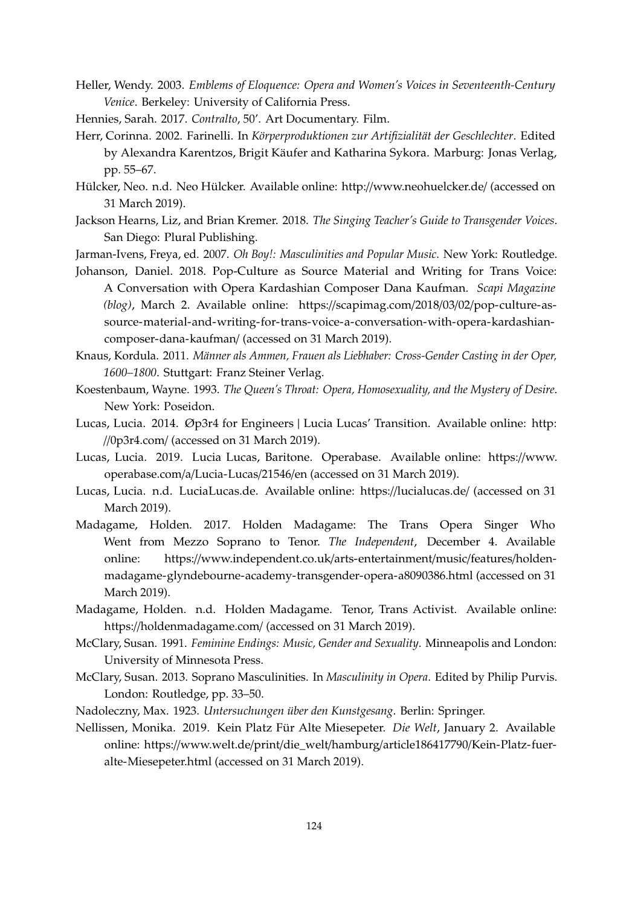- <span id="page-17-8"></span>Heller, Wendy. 2003. *Emblems of Eloquence: Opera and Women's Voices in Seventeenth-Century Venice*. Berkeley: University of California Press.
- <span id="page-17-4"></span>Hennies, Sarah. 2017. *Contralto*, 50'. Art Documentary. Film.
- <span id="page-17-9"></span>Herr, Corinna. 2002. Farinelli. In *Körperproduktionen zur Artifizialität der Geschlechter*. Edited by Alexandra Karentzos, Brigit Käufer and Katharina Sykora. Marburg: Jonas Verlag, pp. 55–67.
- <span id="page-17-5"></span>Hülcker, Neo. n.d. Neo Hülcker. Available online: http://[www.neohuelcker.de](http://www.neohuelcker.de/)/ (accessed on 31 March 2019).
- <span id="page-17-11"></span>Jackson Hearns, Liz, and Brian Kremer. 2018. *The Singing Teacher's Guide to Transgender Voices*. San Diego: Plural Publishing.
- <span id="page-17-10"></span>Jarman-Ivens, Freya, ed. 2007. *Oh Boy!: Masculinities and Popular Music*. New York: Routledge.
- <span id="page-17-17"></span>Johanson, Daniel. 2018. Pop-Culture as Source Material and Writing for Trans Voice: A Conversation with Opera Kardashian Composer Dana Kaufman. *Scapi Magazine (blog)*, March 2. Available online: https://scapimag.com/2018/03/02/[pop-culture-as](https://scapimag.com/2018/03/02/pop-culture-as-source-material-and-writing-for-trans-voice-a-conversation-with-opera-kardashian-composer-dana-kaufman/)[source-material-and-writing-for-trans-voice-a-conversation-with-opera-kardashian](https://scapimag.com/2018/03/02/pop-culture-as-source-material-and-writing-for-trans-voice-a-conversation-with-opera-kardashian-composer-dana-kaufman/)[composer-dana-kaufman](https://scapimag.com/2018/03/02/pop-culture-as-source-material-and-writing-for-trans-voice-a-conversation-with-opera-kardashian-composer-dana-kaufman/)/ (accessed on 31 March 2019).
- <span id="page-17-1"></span>Knaus, Kordula. 2011. *Männer als Ammen, Frauen als Liebhaber: Cross-Gender Casting in der Oper, 1600–1800*. Stuttgart: Franz Steiner Verlag.
- <span id="page-17-6"></span>Koestenbaum, Wayne. 1993. *The Queen's Throat: Opera, Homosexuality, and the Mystery of Desire*. New York: Poseidon.
- <span id="page-17-12"></span>Lucas, Lucia. 2014. Øp3r4 for Engineers | Lucia Lucas' Transition. Available online: [http:](http://0p3r4.com/) //[0p3r4.com](http://0p3r4.com/)/ (accessed on 31 March 2019).
- <span id="page-17-16"></span>Lucas, Lucia. 2019. Lucia Lucas, Baritone. Operabase. Available online: https://[www.](https://www.operabase.com/a/Lucia-Lucas/21546/en) [operabase.com](https://www.operabase.com/a/Lucia-Lucas/21546/en)/a/Lucia-Lucas/21546/en (accessed on 31 March 2019).
- <span id="page-17-0"></span>Lucas, Lucia. n.d. LuciaLucas.de. Available online: https://[lucialucas.de](https://lucialucas.de/)/ (accessed on 31 March 2019).
- <span id="page-17-15"></span>Madagame, Holden. 2017. Holden Madagame: The Trans Opera Singer Who Went from Mezzo Soprano to Tenor. *The Independent*, December 4. Available online: https://[www.independent.co.uk](https://www.independent.co.uk/arts-entertainment/music/features/holden-madagame-glyndebourne-academy-transgender-opera-a8090386.html)/arts-entertainment/music/features/holden[madagame-glyndebourne-academy-transgender-opera-a8090386.html](https://www.independent.co.uk/arts-entertainment/music/features/holden-madagame-glyndebourne-academy-transgender-opera-a8090386.html) (accessed on 31 March 2019).
- <span id="page-17-14"></span>Madagame, Holden. n.d. Holden Madagame. Tenor, Trans Activist. Available online: https://[holdenmadagame.com](https://holdenmadagame.com/)/ (accessed on 31 March 2019).
- <span id="page-17-7"></span>McClary, Susan. 1991. *Feminine Endings: Music, Gender and Sexuality*. Minneapolis and London: University of Minnesota Press.
- <span id="page-17-3"></span>McClary, Susan. 2013. Soprano Masculinities. In *Masculinity in Opera*. Edited by Philip Purvis. London: Routledge, pp. 33–50.
- <span id="page-17-2"></span>Nadoleczny, Max. 1923. *Untersuchungen über den Kunstgesang*. Berlin: Springer.
- <span id="page-17-13"></span>Nellissen, Monika. 2019. Kein Platz Für Alte Miesepeter. *Die Welt*, January 2. Available online: https://www.welt.de/print/die\_welt/hamburg/[article186417790](https://www.welt.de/print/die_welt/hamburg/article186417790/Kein-Platz-fuer-alte-Miesepeter.html)/Kein-Platz-fuer[alte-Miesepeter.html](https://www.welt.de/print/die_welt/hamburg/article186417790/Kein-Platz-fuer-alte-Miesepeter.html) (accessed on 31 March 2019).